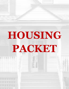## **HOUSING PACKET**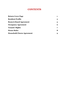#### **CONTENTS**

| <b>Return Cover Page</b>          |          |
|-----------------------------------|----------|
| <b>Resident Profile</b>           | $\bf{2}$ |
| <b>Room &amp; Board Agreement</b> | 5        |
| <b>Occupancy Agreement</b>        | 6        |
| <b>Tenants' Rights</b>            | 7        |
| <b>House Rules</b>                | 8        |
| <b>Household Chores Agreement</b> | 9        |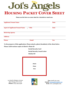

**Please use this form as a cover sheet for a facsimile or email scan.**

| <b>Applicant/Tenant Name</b>          |              | <b>Date</b> |
|---------------------------------------|--------------|-------------|
| <b>Agent of Applicant/Tenant Name</b> | <b>Title</b> | <b>Date</b> |
| <b>Referring Agency</b>               |              |             |
| <b>Address</b>                        |              |             |
| <b>Phone</b>                          | <b>Email</b> | <b>Fax</b>  |

**To the preparer of this application: Please attach a photo (headshot) of the client below.**

**Please ALSO enclose copies of client's: Photo ID**

**Social Security Card**

**Social Security Award Letter**

**Medical ID**



114 South Arlington Avenue East Orange, NJ 07018 **Phone:** (973) 395-4348



**Fax:** (908) 325-1332 **Email:** [joisangales@gmail.com](mailto:joisangales@gmail.com) **Web:** www. joisangels.com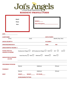

#### **RESIDENT PROFILE FORM**

|                                                     | <b>Attach</b><br>Photo<br>Here | $ROOM H$ <sub>______</sub><br>Date of Occupancy__________                      |                      |                    |     |
|-----------------------------------------------------|--------------------------------|--------------------------------------------------------------------------------|----------------------|--------------------|-----|
| <b>DATE</b>                                         |                                |                                                                                |                      |                    |     |
| <b>CLIENT NAME</b>                                  |                                |                                                                                | <b>DATE OF BIRTH</b> |                    |     |
| (First)                                             |                                | (Last)                                                                         |                      | (Month, Day, Year) |     |
| <b>SOCIAL SECURITY #</b>                            |                                |                                                                                | <b>SS CLAIM #</b>    |                    |     |
| <b>MEDICARE/MEDICAID#</b>                           |                                |                                                                                | PAA#                 | VA#                |     |
| <b>GROSS MONTHLY INCOME \$</b>                      |                                |                                                                                |                      |                    |     |
| <b>PLEASE CHECK ALL</b><br><b>SOURCES OF INCOME</b> |                                | Employment Wages $\Box$ Self-Employment Wages $\Box$ TANF $\Box$ FSP $\Box$    |                      |                    | SSI |
| <b>MEDICATIONS &amp; DOSAGES</b><br>(List All)      |                                | Social Security $\Box$ SSDI $\Box$ Medicaid $\Box$ Welfare $\Box$ Other $\Box$ |                      |                    |     |
| <b>PRESCRIBING PHYSICIAN</b>                        |                                |                                                                                |                      |                    |     |
|                                                     | (Name)                         | (Address)                                                                      |                      | (Phone)            |     |
| <b>PHARMACY</b>                                     |                                |                                                                                |                      |                    |     |
|                                                     | (Name)                         | (Address)                                                                      |                      | (Phone)            |     |
| <b>BODY</b>                                         | HEIGHT_______ WEIGHT_______    | EYE COLOR_____                                                                 |                      |                    |     |
|                                                     | <b>SCARS/MARKS/TATTOOS</b>     |                                                                                |                      |                    |     |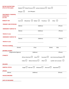| <b>DIETARY RESTRICTIONS</b><br>(Check all that apply)              | Diabetic $\Box$  | Blood Pressure $\Box$ Lactose Intolerant $\Box$ Other $\Box$ |                                  |                               |  |
|--------------------------------------------------------------------|------------------|--------------------------------------------------------------|----------------------------------|-------------------------------|--|
|                                                                    | Allergies $\Box$ | (List Allergies)                                             |                                  |                               |  |
| <b>TREATMENTS, THERAPIES,</b><br><b>DISABILITIES</b><br>(List All) |                  |                                                              |                                  |                               |  |
| <b>MOBILITY AID</b>                                                | Cane $\Box$      | Walker $\Box$<br>Wheelchair $\Box$<br>Prosthesis             |                                  | Other $\Box$                  |  |
| <b>PRIMARY CARE PHYSICIAN</b>                                      | (Name)           | (Address)                                                    |                                  | (Phone)                       |  |
| <b>EMERGENCY CONTACT #1</b>                                        |                  |                                                              |                                  |                               |  |
| <b>Relation to you:</b>                                            | (Name)           | (Address)                                                    |                                  | (Phone)                       |  |
| <b>EMERGENCY CONTACT #2</b>                                        |                  |                                                              |                                  |                               |  |
| <b>Relation to you:</b>                                            | (Name)           | (Address)                                                    |                                  | (Phone)                       |  |
| <b>PREVIOUS ADDRESS</b>                                            |                  |                                                              |                                  |                               |  |
|                                                                    | (Street)         | (City)                                                       | (State)                          | (Zip)                         |  |
| <b>REFERRAL SOURCE</b>                                             |                  |                                                              |                                  |                               |  |
| (Organization/Agency)                                              |                  | (Address)                                                    |                                  | (Phone)                       |  |
| <b>ETHNICITY</b>                                                   | African American | Asian $\Box$<br>Caucasian I                                  |                                  | Latin American/Hispanic L     |  |
|                                                                    | Indian $\Box$    | Other $\Box$<br>Native American L                            |                                  | I prefer not to answer $\Box$ |  |
| <b>RELIGION</b>                                                    |                  |                                                              |                                  |                               |  |
| <b>MARITAL STATUS</b>                                              | Single $\Box$    | Widowed L<br>Married $\Box$                                  | Divorced $\Box$ Separated $\Box$ |                               |  |
| <b>SPOUSE</b>                                                      |                  |                                                              |                                  |                               |  |
| (Name)                                                             |                  | (Address)                                                    |                                  | (Phone)                       |  |
| <b>ISSUES/CONCERNS</b>                                             |                  |                                                              |                                  |                               |  |
| <b>DATE OF DISCHARGE</b>                                           |                  |                                                              |                                  |                               |  |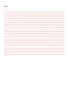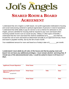

I understand that Joi's Angels is a faith based, non-profit organization dedicated to housing and social restructuring centered in spiritual regeneration of persons in need of assistance. I understand that while ability to pay for service is not a criterion for admission to Joi's Angels, persons admitted for housing shall be required to pay room and board when receiving outside income such as social security, military or other types of benefits. I understand that the room and board fee shall be established at \$\_\_\_\_\_\_\_but shall not exceed the cost of room and board as determined annually by an approved formula. Room and board is payable monthly, due by the 5th of each month.

Your established amount for room and board as of today's date is \$\_\_\_\_\_\_\_\_\_\_per month.

*I understand I must abide by all rules of the house and that by paying room and board I do not have any additional privileges. I must remain alcohol- and drug-free. If I break any of the abovementioned rules, I could be asked to leave in 24 hours to 7 days.*

| <b>Applicant/Tenant Signature</b>                                       | <b>Print Name</b> |              | <b>Date</b> |
|-------------------------------------------------------------------------|-------------------|--------------|-------------|
| <b>Agent of Applicant/Tenant</b><br><b>Signature</b><br>(if applicable) | <b>Print Name</b> | <b>Title</b> | <b>Date</b> |
| <b>Witness Signature</b>                                                | <b>Print Name</b> |              | <b>Date</b> |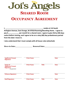

| Ι,                       | reside at 114 South                                                             |
|--------------------------|---------------------------------------------------------------------------------|
|                          | Arlington Avenue, East Orange, NJ 07018 Rooming/Boarding Home. I agree to       |
| $\mathsf{pay}$ \$        | per month for a shared room. I agree to give thirty (30) days                   |
|                          | notice before moving, and I agree to be on a sixty (60) day probationary period |
| from the date I move in. |                                                                                 |

**I also understand that I must comply with all house rules (attached).**

| <b>Move-in Date:</b><br><b>Renewal Date:</b> |
|----------------------------------------------|
|----------------------------------------------|

| <b>Applicant/Tenant</b><br><b>Signature</b>                                       | <b>Print Name</b> |              | <b>Date</b> |
|-----------------------------------------------------------------------------------|-------------------|--------------|-------------|
| <b>Agent of</b><br><b>Applicant/Tenant</b><br><b>Signature</b><br>(if applicable) | <b>Print Name</b> | <b>Title</b> | <b>Date</b> |
| <b>Witness Signature</b>                                                          | <b>Print Name</b> |              | <b>Date</b> |
| <b>Staff Signature</b>                                                            | <b>Print Name</b> | <b>Title</b> | <b>Date</b> |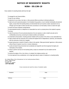#### **NOTICE OF RESIDENTS' RIGHTS NJSA - 55:13B-19**

Every resident of a boarding facility shall have the right:

- To managed his own financial affairs;
- To wear his own clothing;
- To determine his own dress, hair style, or other personal effects according to individual preference;
- To retain and use his personal property in his immediate living quarters, so as to maintain individuality and personal dignity, except where the boarding facility can demonstrate that such would be unsafe, impractical to do so, infringes upon the rights of others and that mere convenience is not the facility's motive to restrict this right;
- To receive and send unopened correspondence;
- To unaccompanied access to a telephone at a reasonable hour and to a private phone at the resident's expense;
- To privacy;
- To retain the services of his own personal physician at his own expense or under a health care plan and to confidentiality and privacy concerning his medical condition and treatment;
- To unrestricted communication, including personal visitation with any person of his choice, at any reasonable hour;
- To make contacts with the community and to achieve the highest level of independence, autonomy, and interaction with the community of which he is capable;
- To present grievances on behalf of himself or others to the operator, State governmental 'agencies or other persons without threat of reprisal in any form or manner whatsoever;
- To a safe and decent living environment and considerate and respectful care that recognizes the dignity and individuality of the resident;
- To refuse to perform services for the boarding facility, except as contracted for by the resident and the operator;
- To practice the religion of his or her choice, or to abstain from religious practice; and
- To not be deprived of any constitutional, civil or legal right solely by reason of residence in a boarding facility.

N.J. State Office of the Ombudsman for the Institutionalized Elderly 240 W. State Street P.O. Box 807 Trenton, N.J. 08625 **1-877-582-6996** 

I have received and read the notice of residents rights

\_\_\_\_\_\_\_\_\_\_\_\_\_\_\_\_\_\_\_\_\_\_\_\_\_\_\_\_\_\_\_\_\_\_\_\_ \_\_\_\_\_\_\_\_\_\_\_\_\_\_\_\_\_\_\_\_\_\_\_\_\_\_\_\_ Resident **Date of the Contract of the Contract of the Contract of the Contract of the Date** 

\_ \_\_\_\_\_\_\_\_\_\_\_\_\_\_\_\_\_\_\_\_\_\_\_\_\_\_\_\_\_\_\_\_\_\_\_ \_\_\_\_\_\_\_\_\_\_\_\_\_\_\_\_\_\_\_\_\_\_\_\_\_\_\_\_ Witness **Date**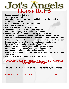# $\frac{1}{100}$ S  $\frac{1}{100}$

- ➢ **Respect yourself and others.**
- ➢ **Proper attire required.**
- ➢ **No arguing, profanity, confrontational behavior or fighting; if you cannot be kind, be silent.**
- ➢ **No smoking inside or in front of the house.**
- ➢ **No unauthorized visitors.**
- ➢ **No guests allowed on the second floor.**
- ➢ **The kitchen closes at 10:00pm (no exceptions).**
- ➢ **No loitering/hanging out in the front of the house.**
- ➢ **Resident curfew: 11:00pm (Mon-Thurs); 1:00am (Fri-Sun)**
- ➢ **Common area lights out: 11:00pm (Mon-Thurs);1:00am (Fri-Sun)**
- ➢ **Resident social activities restricted to first-floor community areas only.**
- ➢ **No fraternizing, consorting, or sexual behavior allowed on the property.**
- ➢ **Respect the privacy of others: No socializing in resident rooms.**
- ➢ **Character Quality mandatory meeting (Mon–Thurs)**
- ➢ **All residents must complete assigned household chores.**
- ➢ **Rooms must be kept clean: Weekly room inspections.**
- ➢ **Clothing and bedding must be washed weekly.**
- ➢ **No cooking or kitchen appliances allowed in rooms (hot plates, coffee makers, etc.)**
- ➢ **No physical altercations/touching another person.**

#### *BREAKING ANY OF THESE RULES IS GROUNDS FOR IMMEDIATE EVICTION.*

**I have read, understand, and agree to abide by these rules.**

| <b>Applicant/Tenant Signature</b> | <b>Print Name</b> | <b>Date</b> |
|-----------------------------------|-------------------|-------------|
| <b>Witness/Staff</b>              | <b>Print Name</b> | <b>Date</b> |